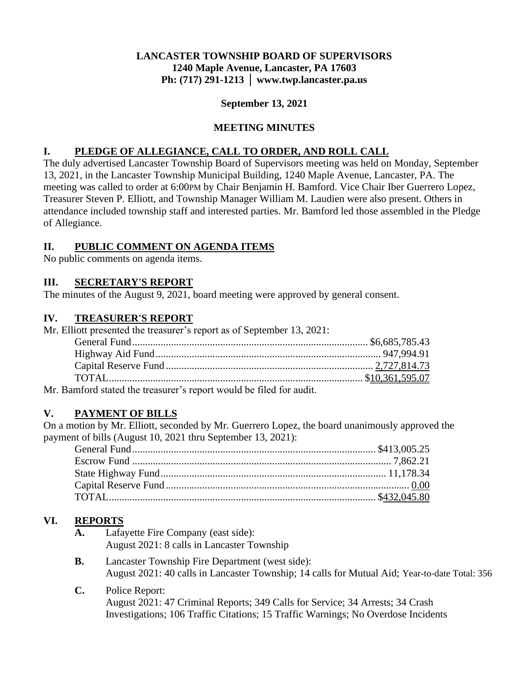### **LANCASTER TOWNSHIP BOARD OF SUPERVISORS 1240 Maple Avenue, Lancaster, PA 17603 Ph: (717) 291-1213 │ www.twp.lancaster.pa.us**

#### **September 13, 2021**

#### **MEETING MINUTES**

### **I. PLEDGE OF ALLEGIANCE, CALL TO ORDER, AND ROLL CALL**

The duly advertised Lancaster Township Board of Supervisors meeting was held on Monday, September 13, 2021, in the Lancaster Township Municipal Building, 1240 Maple Avenue, Lancaster, PA. The meeting was called to order at 6:00PM by Chair Benjamin H. Bamford. Vice Chair Iber Guerrero Lopez, Treasurer Steven P. Elliott, and Township Manager William M. Laudien were also present. Others in attendance included township staff and interested parties. Mr. Bamford led those assembled in the Pledge of Allegiance.

### **II. PUBLIC COMMENT ON AGENDA ITEMS**

No public comments on agenda items.

### **III. SECRETARY'S REPORT**

The minutes of the August 9, 2021, board meeting were approved by general consent.

#### **IV. TREASURER'S REPORT**

Mr. Elliott presented the treasurer's report as of September 13, 2021:

| المستحدث والمتحدث والمتحدث والمستحدث والمستحدث والمستحدث والمستحدث والمستحدث والمستحدث والمستحدث والمستحدث والمستحدث |  |
|----------------------------------------------------------------------------------------------------------------------|--|

Mr. Bamford stated the treasurer's report would be filed for audit.

### **V. PAYMENT OF BILLS**

On a motion by Mr. Elliott, seconded by Mr. Guerrero Lopez, the board unanimously approved the payment of bills (August 10, 2021 thru September 13, 2021):

# **VI. REPORTS**

- **A.** Lafayette Fire Company (east side): August 2021: 8 calls in Lancaster Township
- **B.** Lancaster Township Fire Department (west side): August 2021: 40 calls in Lancaster Township; 14 calls for Mutual Aid; Year-to-date Total: 356
- **C.** Police Report: August 2021: 47 Criminal Reports; 349 Calls for Service; 34 Arrests; 34 Crash Investigations; 106 Traffic Citations; 15 Traffic Warnings; No Overdose Incidents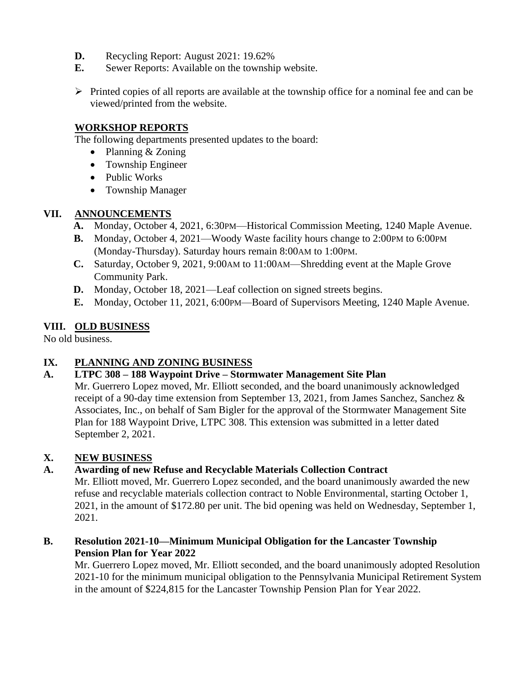- **D.** Recycling Report: August 2021: 19.62%
- **E.** Sewer Reports: Available on the township website.
- ➢ Printed copies of all reports are available at the township office for a nominal fee and can be viewed/printed from the website.

### **WORKSHOP REPORTS**

The following departments presented updates to the board:

- Planning & Zoning
- Township Engineer
- Public Works
- Township Manager

## **VII. ANNOUNCEMENTS**

- **A.** Monday, October 4, 2021, 6:30PM—Historical Commission Meeting, 1240 Maple Avenue.
- **B.** Monday, October 4, 2021—Woody Waste facility hours change to 2:00PM to 6:00PM (Monday-Thursday). Saturday hours remain 8:00AM to 1:00PM.
- **C.** Saturday, October 9, 2021, 9:00AM to 11:00AM—Shredding event at the Maple Grove Community Park.
- **D.** Monday, October 18, 2021—Leaf collection on signed streets begins.
- **E.** Monday, October 11, 2021, 6:00PM—Board of Supervisors Meeting, 1240 Maple Avenue.

# **VIII. OLD BUSINESS**

No old business.

# **IX. PLANNING AND ZONING BUSINESS**

# **A. LTPC 308 – 188 Waypoint Drive – Stormwater Management Site Plan**

Mr. Guerrero Lopez moved, Mr. Elliott seconded, and the board unanimously acknowledged receipt of a 90-day time extension from September 13, 2021, from James Sanchez, Sanchez & Associates, Inc., on behalf of Sam Bigler for the approval of the Stormwater Management Site Plan for 188 Waypoint Drive, LTPC 308. This extension was submitted in a letter dated September 2, 2021.

# **X. NEW BUSINESS**

# **A. Awarding of new Refuse and Recyclable Materials Collection Contract**

Mr. Elliott moved, Mr. Guerrero Lopez seconded, and the board unanimously awarded the new refuse and recyclable materials collection contract to Noble Environmental, starting October 1, 2021, in the amount of \$172.80 per unit. The bid opening was held on Wednesday, September 1, 2021.

**B. Resolution 2021-10—Minimum Municipal Obligation for the Lancaster Township Pension Plan for Year 2022**

Mr. Guerrero Lopez moved, Mr. Elliott seconded, and the board unanimously adopted Resolution 2021-10 for the minimum municipal obligation to the Pennsylvania Municipal Retirement System in the amount of \$224,815 for the Lancaster Township Pension Plan for Year 2022.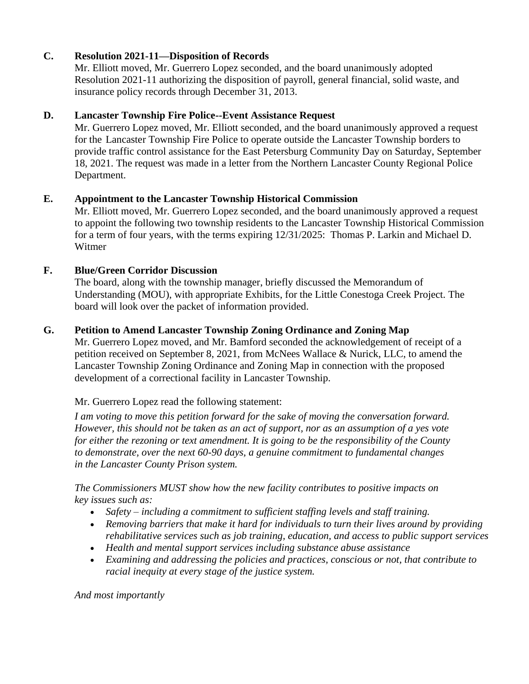## **C. Resolution 2021-11—Disposition of Records**

Mr. Elliott moved, Mr. Guerrero Lopez seconded, and the board unanimously adopted Resolution 2021-11 authorizing the disposition of payroll, general financial, solid waste, and insurance policy records through December 31, 2013.

## **D. Lancaster Township Fire Police--Event Assistance Request**

Mr. Guerrero Lopez moved, Mr. Elliott seconded, and the board unanimously approved a request for the Lancaster Township Fire Police to operate outside the Lancaster Township borders to provide traffic control assistance for the East Petersburg Community Day on Saturday, September 18, 2021. The request was made in a letter from the Northern Lancaster County Regional Police Department.

## **E. Appointment to the Lancaster Township Historical Commission**

Mr. Elliott moved, Mr. Guerrero Lopez seconded, and the board unanimously approved a request to appoint the following two township residents to the Lancaster Township Historical Commission for a term of four years, with the terms expiring 12/31/2025: Thomas P. Larkin and Michael D. Witmer

## **F. Blue/Green Corridor Discussion**

The board, along with the township manager, briefly discussed the Memorandum of Understanding (MOU), with appropriate Exhibits, for the Little Conestoga Creek Project. The board will look over the packet of information provided.

### **G. Petition to Amend Lancaster Township Zoning Ordinance and Zoning Map**

Mr. Guerrero Lopez moved, and Mr. Bamford seconded the acknowledgement of receipt of a petition received on September 8, 2021, from McNees Wallace & Nurick, LLC, to amend the Lancaster Township Zoning Ordinance and Zoning Map in connection with the proposed development of a correctional facility in Lancaster Township.

Mr. Guerrero Lopez read the following statement:

*I am voting to move this petition forward for the sake of moving the conversation forward. However, this should not be taken as an act of support, nor as an assumption of a yes vote for either the rezoning or text amendment. It is going to be the responsibility of the County to demonstrate, over the next 60-90 days, a genuine commitment to fundamental changes in the Lancaster County Prison system.*

*The Commissioners MUST show how the new facility contributes to positive impacts on key issues such as:*

- *Safety – including a commitment to sufficient staffing levels and staff training.*
- *Removing barriers that make it hard for individuals to turn their lives around by providing rehabilitative services such as job training, education, and access to public support services*
- *Health and mental support services including substance abuse assistance*
- *Examining and addressing the policies and practices, conscious or not, that contribute to racial inequity at every stage of the justice system.*

*And most importantly*